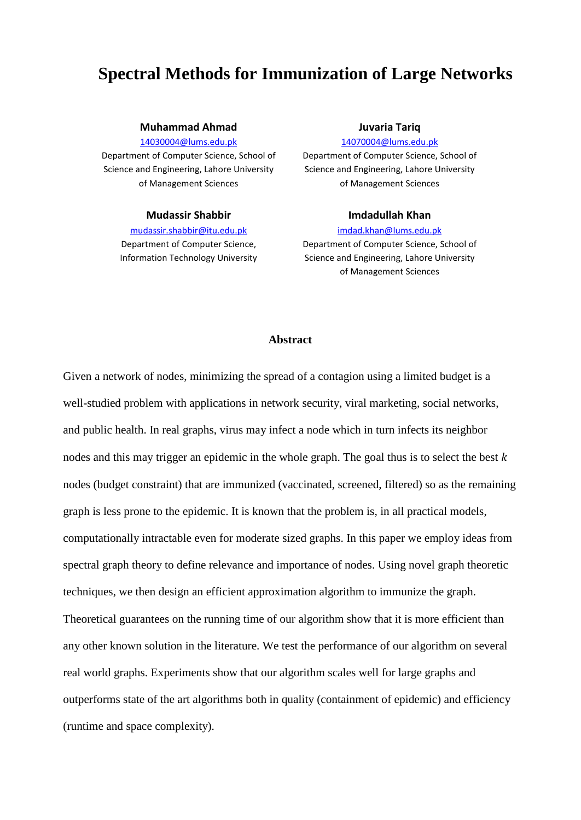# **Spectral Methods for Immunization of Large Networks**

#### **Muhammad Ahmad**

[14030004@lums.edu.pk](mailto:14030004@lums.edu.pk)

Department of Computer Science, School of Science and Engineering, Lahore University of Management Sciences

#### **Mudassir Shabbir**

[mudassir.shabbir@itu.edu.pk](mailto:mudassir.shabbir@itu.edu.pk) Department of Computer Science, Information Technology University

#### **Juvaria Tariq**

[14070004@lums.edu.pk](mailto:14070004@lums.edu.pk)

Department of Computer Science, School of Science and Engineering, Lahore University of Management Sciences

#### **Imdadullah Khan**

#### [imdad.khan@lums.edu.pk](mailto:imdad.khan@lums.edu.pk)

Department of Computer Science, School of Science and Engineering, Lahore University of Management Sciences

#### **Abstract**

Given a network of nodes, minimizing the spread of a contagion using a limited budget is a well-studied problem with applications in network security, viral marketing, social networks, and public health. In real graphs, virus may infect a node which in turn infects its neighbor nodes and this may trigger an epidemic in the whole graph. The goal thus is to select the best  $k$ nodes (budget constraint) that are immunized (vaccinated, screened, filtered) so as the remaining graph is less prone to the epidemic. It is known that the problem is, in all practical models, computationally intractable even for moderate sized graphs. In this paper we employ ideas from spectral graph theory to define relevance and importance of nodes. Using novel graph theoretic techniques, we then design an efficient approximation algorithm to immunize the graph. Theoretical guarantees on the running time of our algorithm show that it is more efficient than any other known solution in the literature. We test the performance of our algorithm on several real world graphs. Experiments show that our algorithm scales well for large graphs and outperforms state of the art algorithms both in quality (containment of epidemic) and efficiency (runtime and space complexity).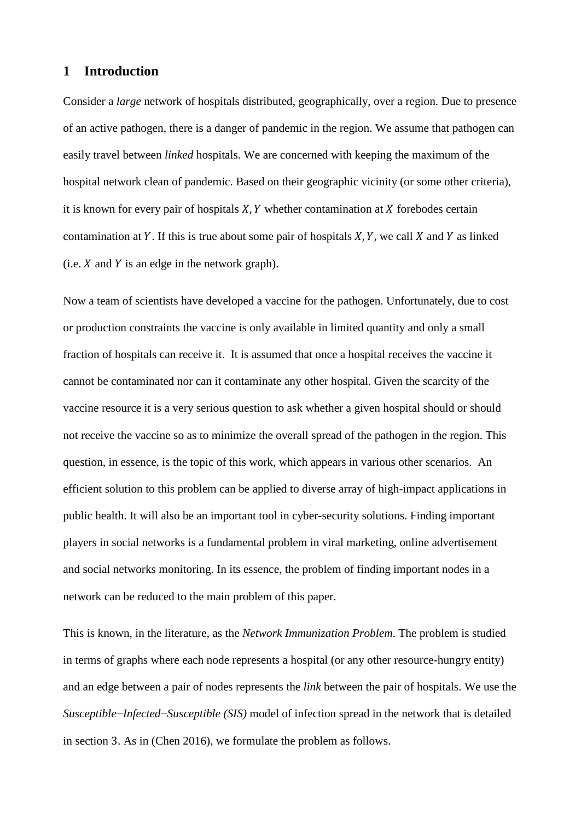### **1 Introduction**

Consider a *large* network of hospitals distributed, geographically, over a region. Due to presence of an active pathogen, there is a danger of pandemic in the region. We assume that pathogen can easily travel between *linked* hospitals. We are concerned with keeping the maximum of the hospital network clean of pandemic. Based on their geographic vicinity (or some other criteria), it is known for every pair of hospitals  $X, Y$  whether contamination at  $X$  forebodes certain contamination at Y. If this is true about some pair of hospitals  $X, Y$ , we call X and Y as linked  $(i.e. X and Y is an edge in the network graph).$ 

Now a team of scientists have developed a vaccine for the pathogen. Unfortunately, due to cost or production constraints the vaccine is only available in limited quantity and only a small fraction of hospitals can receive it. It is assumed that once a hospital receives the vaccine it cannot be contaminated nor can it contaminate any other hospital. Given the scarcity of the vaccine resource it is a very serious question to ask whether a given hospital should or should not receive the vaccine so as to minimize the overall spread of the pathogen in the region. This question, in essence, is the topic of this work, which appears in various other scenarios. An efficient solution to this problem can be applied to diverse array of high-impact applications in public health. It will also be an important tool in cyber-security solutions. Finding important players in social networks is a fundamental problem in viral marketing, online advertisement and social networks monitoring. In its essence, the problem of finding important nodes in a network can be reduced to the main problem of this paper.

This is known, in the literature, as the *Network Immunization Problem*. The problem is studied in terms of graphs where each node represents a hospital (or any other resource-hungry entity) and an edge between a pair of nodes represents the *link* between the pair of hospitals. We use the *Susceptible*−*Infected*−*Susceptible (SIS)* model of infection spread in the network that is detailed in section 3. As in (Chen 2016), we formulate the problem as follows.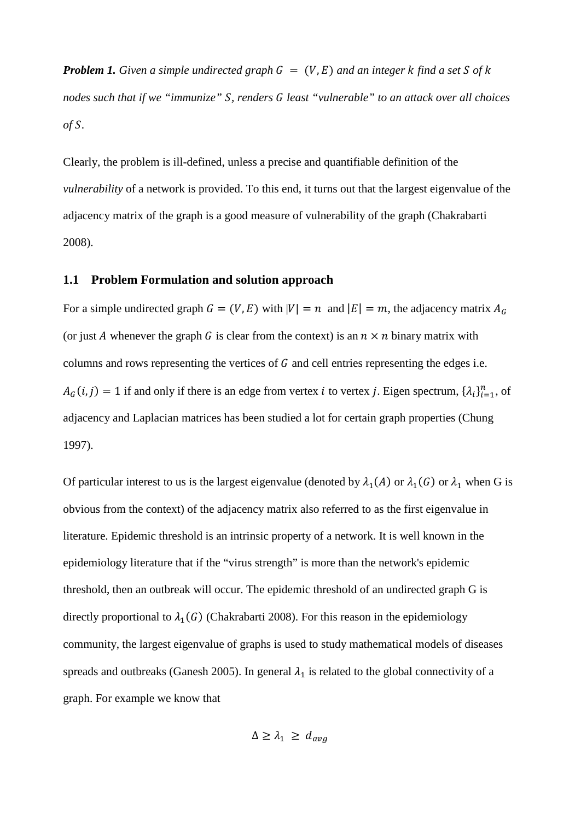*Problem 1. Given a simple undirected graph*  $G = (V, E)$  *and an integer k find a set S of k nodes such that if we "immunize" , renders least "vulnerable" to an attack over all choices of .*

Clearly, the problem is ill-defined, unless a precise and quantifiable definition of the *vulnerability* of a network is provided. To this end, it turns out that the largest eigenvalue of the adjacency matrix of the graph is a good measure of vulnerability of the graph (Chakrabarti 2008).

### **1.1 Problem Formulation and solution approach**

For a simple undirected graph  $G = (V, E)$  with  $|V| = n$  and  $|E| = m$ , the adjacency matrix  $A_G$ (or just A whenever the graph G is clear from the context) is an  $n \times n$  binary matrix with columns and rows representing the vertices of  $G$  and cell entries representing the edges i.e.  $A_G(i, j) = 1$  if and only if there is an edge from vertex *i* to vertex *j*. Eigen spectrum,  $\{\lambda_i\}_{i=1}^n$ , of adjacency and Laplacian matrices has been studied a lot for certain graph properties (Chung 1997).

Of particular interest to us is the largest eigenvalue (denoted by  $\lambda_1(A)$  or  $\lambda_1(G)$  or  $\lambda_1$  when G is obvious from the context) of the adjacency matrix also referred to as the first eigenvalue in literature. Epidemic threshold is an intrinsic property of a network. It is well known in the epidemiology literature that if the "virus strength" is more than the network's epidemic threshold, then an outbreak will occur. The epidemic threshold of an undirected graph G is directly proportional to  $\lambda_1(G)$  (Chakrabarti 2008). For this reason in the epidemiology community, the largest eigenvalue of graphs is used to study mathematical models of diseases spreads and outbreaks (Ganesh 2005). In general  $\lambda_1$  is related to the global connectivity of a graph. For example we know that

$$
\Delta \geq \lambda_1 \geq d_{avg}
$$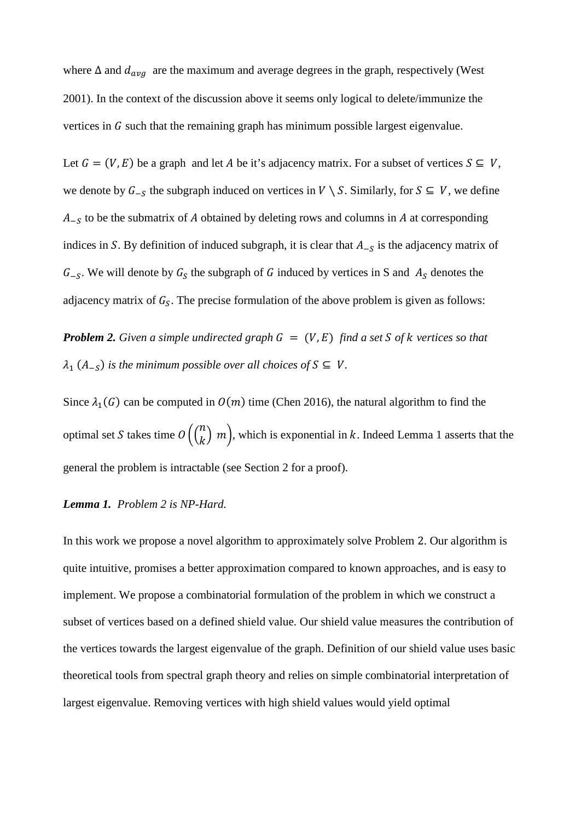where  $\Delta$  and  $d_{avg}$  are the maximum and average degrees in the graph, respectively (West 2001). In the context of the discussion above it seems only logical to delete/immunize the vertices in  $G$  such that the remaining graph has minimum possible largest eigenvalue.

Let  $G = (V, E)$  be a graph and let A be it's adjacency matrix. For a subset of vertices  $S \subseteq V$ , we denote by  $G_{-S}$  the subgraph induced on vertices in  $V \setminus S$ . Similarly, for  $S \subseteq V$ , we define  $A_{-S}$  to be the submatrix of A obtained by deleting rows and columns in A at corresponding indices in S. By definition of induced subgraph, it is clear that  $A_{-S}$  is the adjacency matrix of  $G_{-S}$ . We will denote by  $G_S$  the subgraph of G induced by vertices in S and  $A_S$  denotes the adjacency matrix of  $G_s$ . The precise formulation of the above problem is given as follows:

*Problem 2. Given a simple undirected graph*  $G = (V, E)$  *find a set S of k vertices so that*  $\lambda_1$  (A<sub>-S</sub>) is the minimum possible over all choices of  $S \subseteq V$ .

Since  $\lambda_1(G)$  can be computed in  $O(m)$  time (Chen 2016), the natural algorithm to find the optimal set S takes time  $O\left(\binom{n}{k}m\right)$ , which is exponential in k. Indeed Lemma 1 asserts that the general the problem is intractable (see Section 2 for a proof).

### *Lemma 1. Problem 2 is NP-Hard.*

In this work we propose a novel algorithm to approximately solve Problem 2. Our algorithm is quite intuitive, promises a better approximation compared to known approaches, and is easy to implement. We propose a combinatorial formulation of the problem in which we construct a subset of vertices based on a defined shield value. Our shield value measures the contribution of the vertices towards the largest eigenvalue of the graph. Definition of our shield value uses basic theoretical tools from spectral graph theory and relies on simple combinatorial interpretation of largest eigenvalue. Removing vertices with high shield values would yield optimal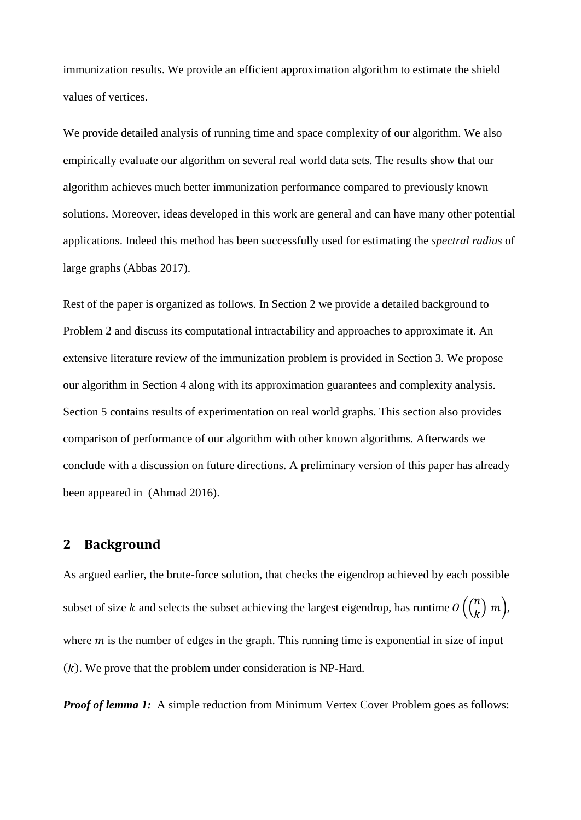immunization results. We provide an efficient approximation algorithm to estimate the shield values of vertices.

We provide detailed analysis of running time and space complexity of our algorithm. We also empirically evaluate our algorithm on several real world data sets. The results show that our algorithm achieves much better immunization performance compared to previously known solutions. Moreover, ideas developed in this work are general and can have many other potential applications. Indeed this method has been successfully used for estimating the *spectral radius* of large graphs (Abbas 2017).

Rest of the paper is organized as follows. In Section 2 we provide a detailed background to Problem 2 and discuss its computational intractability and approaches to approximate it. An extensive literature review of the immunization problem is provided in Section 3. We propose our algorithm in Section 4 along with its approximation guarantees and complexity analysis. Section 5 contains results of experimentation on real world graphs. This section also provides comparison of performance of our algorithm with other known algorithms. Afterwards we conclude with a discussion on future directions. A preliminary version of this paper has already been appeared in (Ahmad 2016).

## **2 Background**

As argued earlier, the brute-force solution, that checks the eigendrop achieved by each possible subset of size *k* and selects the subset achieving the largest eigendrop, has runtime  $O\left(\binom{n}{k}m\right)$ , where  $m$  is the number of edges in the graph. This running time is exponential in size of input  $(k)$ . We prove that the problem under consideration is NP-Hard.

*Proof of lemma 1:* A simple reduction from Minimum Vertex Cover Problem goes as follows: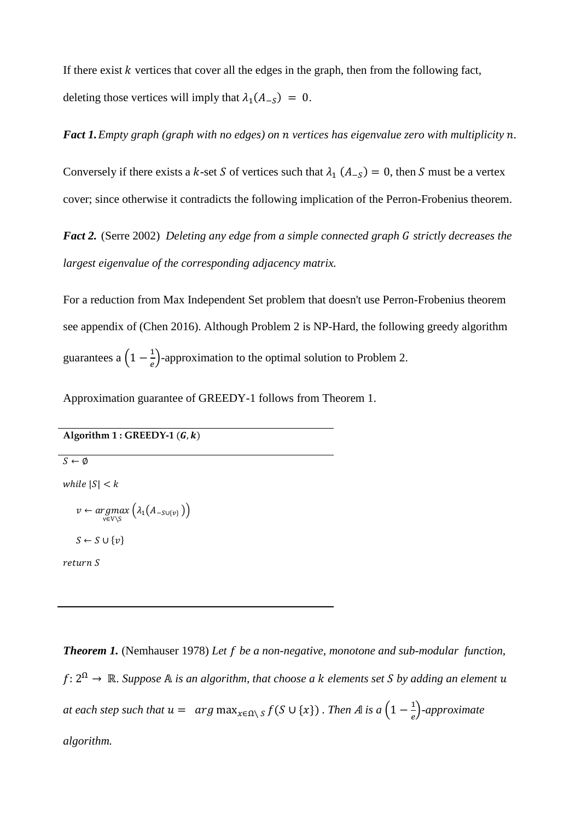If there exist  $k$  vertices that cover all the edges in the graph, then from the following fact, deleting those vertices will imply that  $\lambda_1(A_{-S}) = 0$ .

*Fact 1.Empty graph (graph with no edges) on vertices has eigenvalue zero with multiplicity .*

Conversely if there exists a k-set S of vertices such that  $\lambda_1$  ( $A_{-S}$ ) = 0, then S must be a vertex cover; since otherwise it contradicts the following implication of the Perron-Frobenius theorem.

*Fact 2.* (Serre 2002) *Deleting any edge from a simple connected graph G strictly decreases the largest eigenvalue of the corresponding adjacency matrix.*

For a reduction from Max Independent Set problem that doesn't use Perron-Frobenius theorem see appendix of (Chen 2016). Although Problem 2 is NP-Hard, the following greedy algorithm guarantees a  $\left(1 - \frac{1}{e}\right)$ -approximation to the optimal solution to Problem 2.

Approximation guarantee of GREEDY-1 follows from Theorem 1.

### Algorithm  $1:$  GREEDY-1  $(G, k)$

 $S \leftarrow \emptyset$ 

while  $|S| < k$ 

$$
v \leftarrow \underset{v \in V \setminus S}{argmax} \left( \lambda_1(A_{-S \cup \{v\}}) \right)
$$

$$
S \leftarrow S \cup \{v\}
$$

$$
return S
$$

*Theorem 1.* (Nemhauser 1978) *Let be a non-negative, monotone and sub-modular function,*  : 2<sup>Ω</sup> → ℝ*. Suppose is an algorithm, that choose a elements set by adding an element at each step such that*  $u = arg max_{x \in \Omega \setminus S} f(S \cup \{x\})$  *. Then A is a*  $\left(1 - \frac{1}{e}\right)$ -approximate *algorithm.*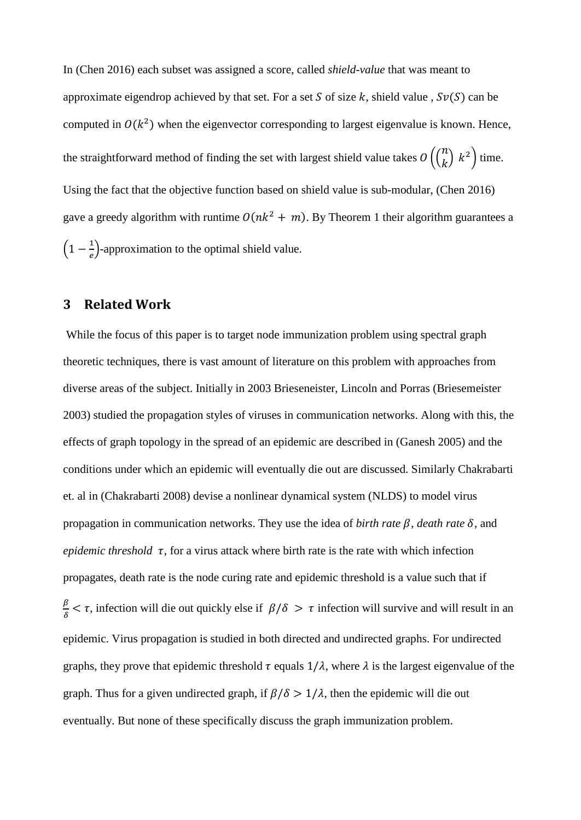In (Chen 2016) each subset was assigned a score, called *shield-value* that was meant to approximate eigendrop achieved by that set. For a set S of size k, shield value,  $Sv(S)$  can be computed in  $O(k^2)$  when the eigenvector corresponding to largest eigenvalue is known. Hence, the straightforward method of finding the set with largest shield value takes  $O\left(\binom{n}{k} k^2\right)$  time. Using the fact that the objective function based on shield value is sub-modular, (Chen 2016) gave a greedy algorithm with runtime  $O(nk^2 + m)$ . By Theorem 1 their algorithm guarantees a  $\left(1 - \frac{1}{e}\right)$ -approximation to the optimal shield value.

## **3 Related Work**

While the focus of this paper is to target node immunization problem using spectral graph theoretic techniques, there is vast amount of literature on this problem with approaches from diverse areas of the subject. Initially in 2003 Brieseneister, Lincoln and Porras (Briesemeister 2003) studied the propagation styles of viruses in communication networks. Along with this, the effects of graph topology in the spread of an epidemic are described in (Ganesh 2005) and the conditions under which an epidemic will eventually die out are discussed. Similarly Chakrabarti et. al in (Chakrabarti 2008) devise a nonlinear dynamical system (NLDS) to model virus propagation in communication networks. They use the idea of *birth rate*  $\beta$ , *death rate*  $\delta$ , and *epidemic threshold*  $\tau$ , for a virus attack where birth rate is the rate with which infection propagates, death rate is the node curing rate and epidemic threshold is a value such that if  $\frac{\beta}{\delta} < \tau$ , infection will die out quickly else if  $\beta/\delta > \tau$  infection will survive and will result in an epidemic. Virus propagation is studied in both directed and undirected graphs. For undirected graphs, they prove that epidemic threshold  $\tau$  equals  $1/\lambda$ , where  $\lambda$  is the largest eigenvalue of the graph. Thus for a given undirected graph, if  $\beta/\delta > 1/\lambda$ , then the epidemic will die out eventually. But none of these specifically discuss the graph immunization problem.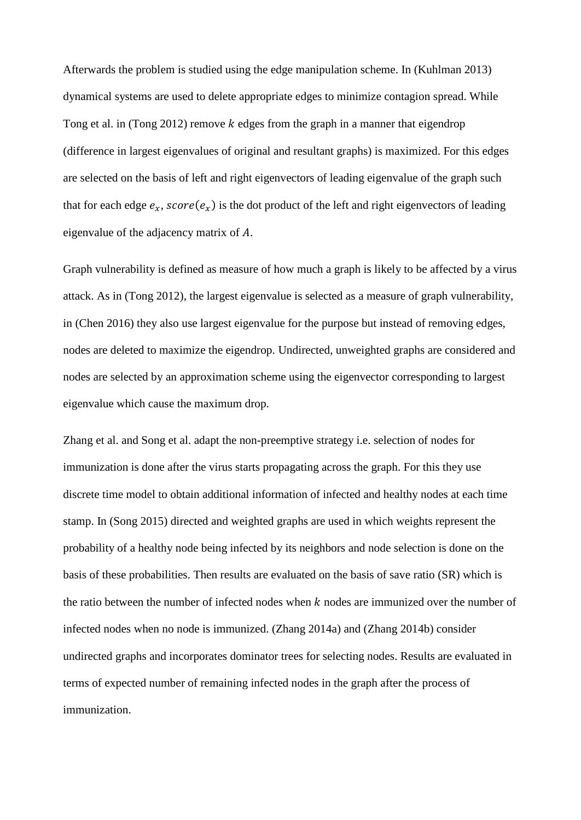Afterwards the problem is studied using the edge manipulation scheme. In (Kuhlman 2013) dynamical systems are used to delete appropriate edges to minimize contagion spread. While Tong et al. in (Tong 2012) remove  $k$  edges from the graph in a manner that eigendrop (difference in largest eigenvalues of original and resultant graphs) is maximized. For this edges are selected on the basis of left and right eigenvectors of leading eigenvalue of the graph such that for each edge  $e_r$ ,  $score(e_r)$  is the dot product of the left and right eigenvectors of leading eigenvalue of the adjacency matrix of A.

Graph vulnerability is defined as measure of how much a graph is likely to be affected by a virus attack. As in (Tong 2012), the largest eigenvalue is selected as a measure of graph vulnerability, in (Chen 2016) they also use largest eigenvalue for the purpose but instead of removing edges, nodes are deleted to maximize the eigendrop. Undirected, unweighted graphs are considered and nodes are selected by an approximation scheme using the eigenvector corresponding to largest eigenvalue which cause the maximum drop.

Zhang et al. and Song et al. adapt the non-preemptive strategy i.e. selection of nodes for immunization is done after the virus starts propagating across the graph. For this they use discrete time model to obtain additional information of infected and healthy nodes at each time stamp. In (Song 2015) directed and weighted graphs are used in which weights represent the probability of a healthy node being infected by its neighbors and node selection is done on the basis of these probabilities. Then results are evaluated on the basis of save ratio (SR) which is the ratio between the number of infected nodes when  $k$  nodes are immunized over the number of infected nodes when no node is immunized. (Zhang 2014a) and (Zhang 2014b) consider undirected graphs and incorporates dominator trees for selecting nodes. Results are evaluated in terms of expected number of remaining infected nodes in the graph after the process of immunization.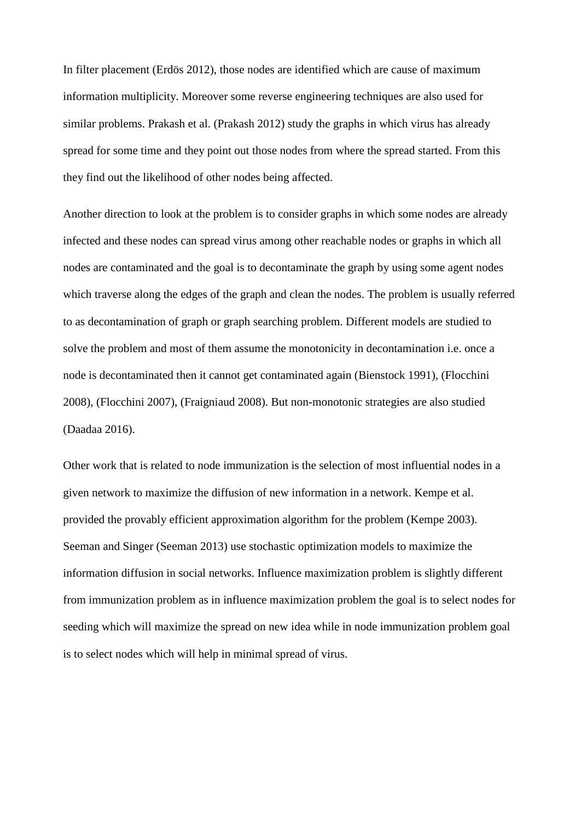In filter placement (Erdös 2012), those nodes are identified which are cause of maximum information multiplicity. Moreover some reverse engineering techniques are also used for similar problems. Prakash et al. (Prakash 2012) study the graphs in which virus has already spread for some time and they point out those nodes from where the spread started. From this they find out the likelihood of other nodes being affected.

Another direction to look at the problem is to consider graphs in which some nodes are already infected and these nodes can spread virus among other reachable nodes or graphs in which all nodes are contaminated and the goal is to decontaminate the graph by using some agent nodes which traverse along the edges of the graph and clean the nodes. The problem is usually referred to as decontamination of graph or graph searching problem. Different models are studied to solve the problem and most of them assume the monotonicity in decontamination i.e. once a node is decontaminated then it cannot get contaminated again (Bienstock 1991), (Flocchini 2008), (Flocchini 2007), (Fraigniaud 2008). But non-monotonic strategies are also studied (Daadaa 2016).

Other work that is related to node immunization is the selection of most influential nodes in a given network to maximize the diffusion of new information in a network. Kempe et al. provided the provably efficient approximation algorithm for the problem (Kempe 2003). Seeman and Singer (Seeman 2013) use stochastic optimization models to maximize the information diffusion in social networks. Influence maximization problem is slightly different from immunization problem as in influence maximization problem the goal is to select nodes for seeding which will maximize the spread on new idea while in node immunization problem goal is to select nodes which will help in minimal spread of virus.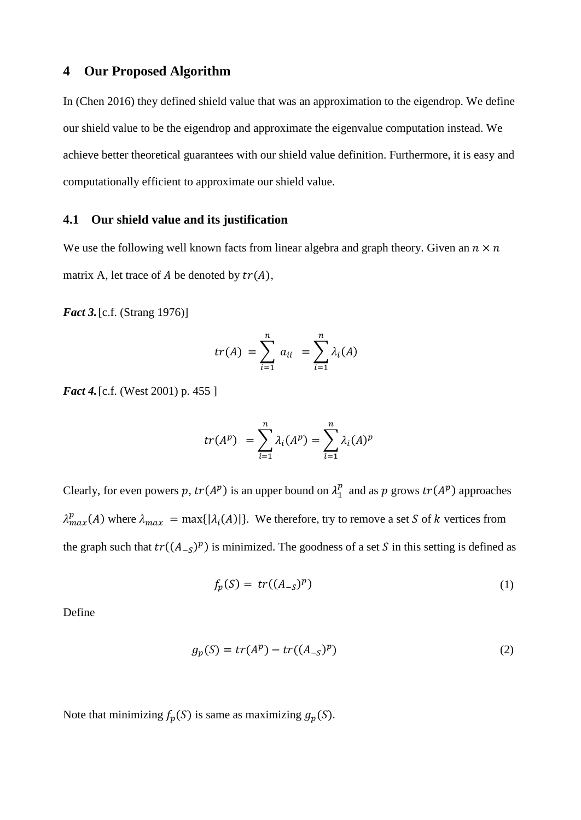## **4 Our Proposed Algorithm**

In (Chen 2016) they defined shield value that was an approximation to the eigendrop. We define our shield value to be the eigendrop and approximate the eigenvalue computation instead. We achieve better theoretical guarantees with our shield value definition. Furthermore, it is easy and computationally efficient to approximate our shield value.

### **4.1 Our shield value and its justification**

We use the following well known facts from linear algebra and graph theory. Given an  $n \times n$ matrix A, let trace of A be denoted by  $tr(A)$ ,

*Fact 3.*[c.f. (Strang 1976)]

$$
tr(A) = \sum_{i=1}^{n} a_{ii} = \sum_{i=1}^{n} \lambda_i(A)
$$

*Fact* 4. [c.f. (West 2001) p. 455 ]

$$
tr(A^p) = \sum_{i=1}^n \lambda_i(A^p) = \sum_{i=1}^n \lambda_i(A)^p
$$

Clearly, for even powers p,  $tr(A^p)$  is an upper bound on  $\lambda_1^p$  and as p grows  $tr(A^p)$  approaches  $\lambda_{max}^p(A)$  where  $\lambda_{max} = \max\{|\lambda_i(A)|\}$ . We therefore, try to remove a set S of k vertices from the graph such that  $tr((A_{-S})^p)$  is minimized. The goodness of a set S in this setting is defined as

$$
f_p(S) = tr((A_{-S})^p) \tag{1}
$$

Define

$$
g_p(S) = tr(A^p) - tr((A_{-S})^p)
$$
\n<sup>(2)</sup>

Note that minimizing  $f_p(S)$  is same as maximizing  $g_p(S)$ .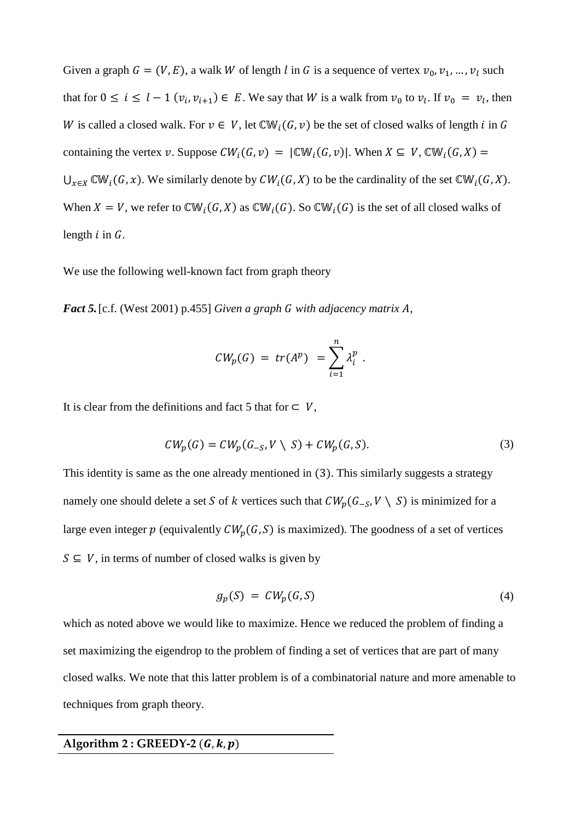Given a graph  $G = (V, E)$ , a walk W of length l in G is a sequence of vertex  $v_0, v_1, ..., v_l$  such that for  $0 \le i \le l - 1$   $(v_i, v_{i+1}) \in E$ . We say that W is a walk from  $v_0$  to  $v_i$ . If  $v_0 = v_i$ , then W is called a closed walk. For  $v \in V$ , let  $\mathbb{CW}_i(G, v)$  be the set of closed walks of length *i* in G containing the vertex v. Suppose  $CW_i(G, v) = |CW_i(G, v)|$ . When  $X \subseteq V$ ,  $CW_i(G, X) =$  $\bigcup_{x\in X} \mathbb{CW}_i(G, x)$ . We similarly denote by  $CW_i(G, X)$  to be the cardinality of the set  $\mathbb{CW}_i(G, X)$ . When  $X = V$ , we refer to  $\mathbb{CW}_i(G, X)$  as  $\mathbb{CW}_i(G)$ . So  $\mathbb{CW}_i(G)$  is the set of all closed walks of length  $i$  in  $G$ .

We use the following well-known fact from graph theory

*Fact 5.* [c.f. (West 2001) p.455] *Given a graph G with adjacency matrix A,* 

$$
CW_p(G) = tr(A^p) = \sum_{i=1}^n \lambda_i^p.
$$

It is clear from the definitions and fact 5 that for  $\subset V$ ,

$$
CW_p(G) = CW_p(G_{-S}, V \setminus S) + CW_p(G, S). \tag{3}
$$

This identity is same as the one already mentioned in (3). This similarly suggests a strategy namely one should delete a set S of k vertices such that  $CW_p(G_{-S}, V \setminus S)$  is minimized for a large even integer  $p$  (equivalently  $CW_p(G, S)$  is maximized). The goodness of a set of vertices  $S \subseteq V$ , in terms of number of closed walks is given by

$$
g_p(S) = CW_p(G, S) \tag{4}
$$

which as noted above we would like to maximize. Hence we reduced the problem of finding a set maximizing the eigendrop to the problem of finding a set of vertices that are part of many closed walks. We note that this latter problem is of a combinatorial nature and more amenable to techniques from graph theory.

### Algorithm  $2:$  GREEDY-2  $(G, k, p)$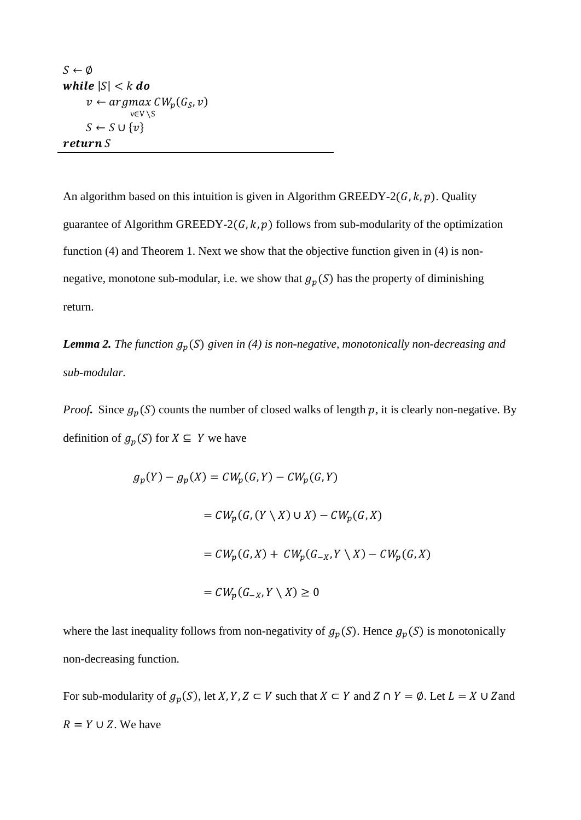```
S \leftarrow \emptysetwhile |S| < k do
       v \leftarrow argmax_{w} CW_p(G_S, v)v∈V ∖S
      S \leftarrow S \cup \{v\}return S
```
An algorithm based on this intuition is given in Algorithm GREEDY-2( $G$ ,  $k$ ,  $p$ ). Quality guarantee of Algorithm GREEDY-2( $G, k, p$ ) follows from sub-modularity of the optimization function (4) and Theorem 1. Next we show that the objective function given in (4) is nonnegative, monotone sub-modular, i.e. we show that  $g_p(S)$  has the property of diminishing return.

**Lemma 2.** The function  $g_p(S)$  given in (4) is non-negative, monotonically non-decreasing and *sub-modular.*

*Proof*. Since  $g_p(S)$  counts the number of closed walks of length p, it is clearly non-negative. By definition of  $g_p(S)$  for  $X \subseteq Y$  we have

$$
g_p(Y) - g_p(X) = CW_p(G, Y) - CW_p(G, Y)
$$
  
=  $CW_p(G, (Y \setminus X) \cup X) - CW_p(G, X)$   
=  $CW_p(G, X) + CW_p(G_{-X}, Y \setminus X) - CW_p(G, X)$   
=  $CW_p(G_{-X}, Y \setminus X) \ge 0$ 

where the last inequality follows from non-negativity of  $g_p(S)$ . Hence  $g_p(S)$  is monotonically non-decreasing function.

For sub-modularity of  $g_p(S)$ , let  $X, Y, Z \subset V$  such that  $X \subset Y$  and  $Z \cap Y = \emptyset$ . Let  $L = X \cup Z$  and  $R = Y \cup Z$ . We have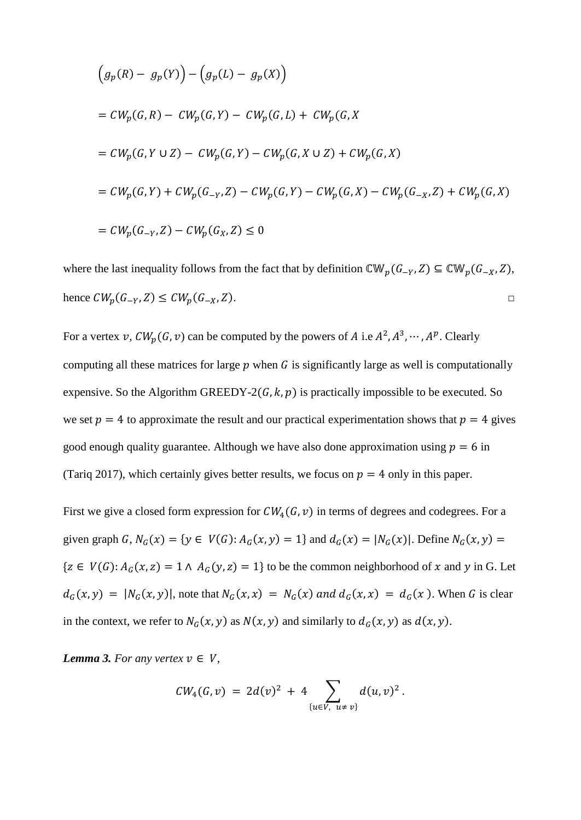$$
(g_p(R) - g_p(Y)) - (g_p(L) - g_p(X))
$$
  
=  $CW_p(G, R) - CW_p(G, Y) - CW_p(G, L) + CW_p(G, X)$   
=  $CW_p(G, Y \cup Z) - CW_p(G, Y) - CW_p(G, X \cup Z) + CW_p(G, X)$   
=  $CW_p(G, Y) + CW_p(G_{-Y}, Z) - CW_p(G, Y) - CW_p(G, X) - CW_p(G_{-X}, Z) + CW_p(G, X)$   
=  $CW_p(G_{-Y}, Z) - CW_p(G_X, Z) \le 0$ 

where the last inequality follows from the fact that by definition  $\mathbb{CW}_p(G_{-Y}, Z) \subseteq \mathbb{CW}_p(G_{-X}, Z)$ , hence  $CW_p(G_{-Y}, Z) \le CW_p(G_{-X}, Z)$ .

For a vertex v,  $CW_p(G, v)$  can be computed by the powers of A i.e  $A^2, A^3, \dots, A^p$ . Clearly computing all these matrices for large  $p$  when  $G$  is significantly large as well is computationally expensive. So the Algorithm GREEDY-2( $G, k, p$ ) is practically impossible to be executed. So we set  $p = 4$  to approximate the result and our practical experimentation shows that  $p = 4$  gives good enough quality guarantee. Although we have also done approximation using  $p = 6$  in (Tariq 2017), which certainly gives better results, we focus on  $p = 4$  only in this paper.

First we give a closed form expression for  $CW_4(G, v)$  in terms of degrees and codegrees. For a given graph G,  $N_G(x) = \{ y \in V(G) : A_G(x, y) = 1 \}$  and  $d_G(x) = |N_G(x)|$ . Define  $N_G(x, y) =$  ${ z \in V(G) : A_G(x, z) = 1 \land A_G(y, z) = 1 }$  to be the common neighborhood of x and y in G. Let  $d_G(x, y) = |N_G(x, y)|$ , note that  $N_G(x, x) = N_G(x)$  and  $d_G(x, x) = d_G(x)$ . When G is clear in the context, we refer to  $N_G(x, y)$  as  $N(x, y)$  and similarly to  $d_G(x, y)$  as  $d(x, y)$ .

*Lemma 3. For any vertex*  $v \in V$ ,

$$
CW_4(G,v) = 2d(v)^2 + 4 \sum_{\{u \in V, u \neq v\}} d(u,v)^2.
$$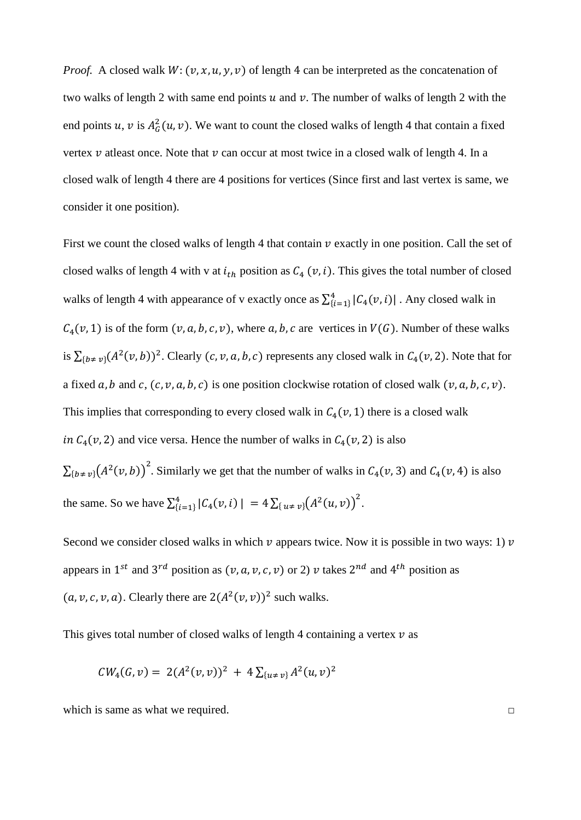*Proof.* A closed walk  $W: (v, x, u, v, v)$  of length 4 can be interpreted as the concatenation of two walks of length 2 with same end points  $u$  and  $v$ . The number of walks of length 2 with the end points u, v is  $A_G^2(u, v)$ . We want to count the closed walks of length 4 that contain a fixed vertex  $v$  atleast once. Note that  $v$  can occur at most twice in a closed walk of length 4. In a closed walk of length 4 there are 4 positions for vertices (Since first and last vertex is same, we consider it one position).

First we count the closed walks of length 4 that contain  $\nu$  exactly in one position. Call the set of closed walks of length 4 with v at  $i_{th}$  position as  $C_4$  ( $v$ , i). This gives the total number of closed walks of length 4 with appearance of v exactly once as  $\sum_{i=1}^{4} |C_4(v, i)|$ . Any closed walk in  $C_4(v, 1)$  is of the form  $(v, a, b, c, v)$ , where a, b, c are vertices in  $V(G)$ . Number of these walks is  $\sum_{\{b \neq v\}} (A^2(v, b))^2$ . Clearly  $(c, v, a, b, c)$  represents any closed walk in  $C_4(v, 2)$ . Note that for a fixed  $a, b$  and  $c, (c, v, a, b, c)$  is one position clockwise rotation of closed walk  $(v, a, b, c, v)$ . This implies that corresponding to every closed walk in  $C_4(v, 1)$  there is a closed walk in  $C_4(v, 2)$  and vice versa. Hence the number of walks in  $C_4(v, 2)$  is also

 $\sum_{\{b \neq v\}} (A^2(v, b))^2$ . Similarly we get that the number of walks in  $C_4(v, 3)$  and  $C_4(v, 4)$  is also the same. So we have  $\sum_{i=1}^{4} |C_4(v, i)| = 4 \sum_{\{u \neq v\}} (A^2(u, v))^2$ .

Second we consider closed walks in which  $\nu$  appears twice. Now it is possible in two ways: 1)  $\nu$ appears in 1<sup>st</sup> and 3<sup>rd</sup> position as  $(v, a, v, c, v)$  or 2) v takes 2<sup>nd</sup> and 4<sup>th</sup> position as  $(a, v, c, v, a)$ . Clearly there are  $2(A^2(v, v))^2$  such walks.

This gives total number of closed walks of length 4 containing a vertex  $\nu$  as

$$
CW_4(G,v) = 2(A^2(v,v))^2 + 4\sum_{\{u \neq v\}} A^2(u,v)^2
$$

which is same as what we required.  $□$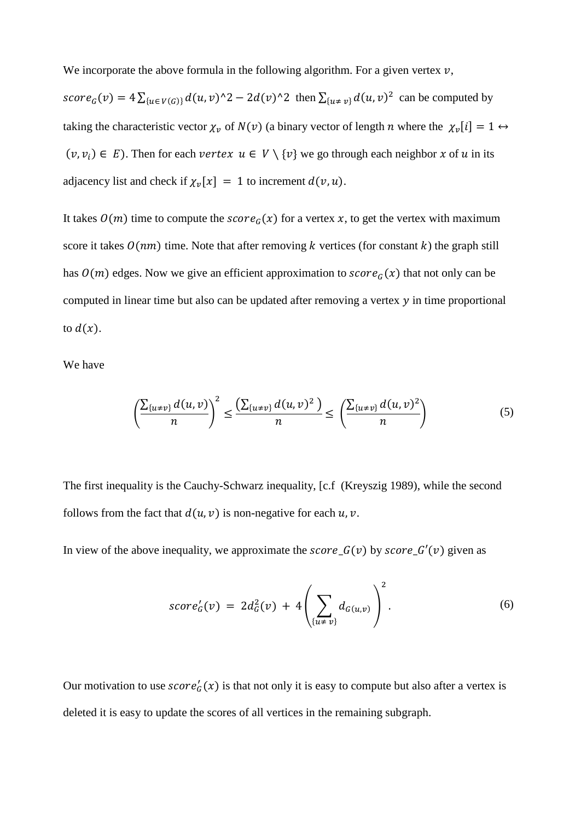We incorporate the above formula in the following algorithm. For a given vertex  $v$ ,

score<sub>G</sub> $(v) = 4 \sum_{\{u \in V(G)\}} d(u, v)^{2} - 2d(v)^{2}$  then  $\sum_{\{u \neq v\}} d(u, v)^{2}$  can be computed by taking the characteristic vector  $\chi_v$  of  $N(v)$  (a binary vector of length *n* where the  $\chi_v[i] = 1 \leftrightarrow$  $(v, v_i) \in E$ ). Then for each vertex  $u \in V \setminus \{v\}$  we go through each neighbor x of u in its adjacency list and check if  $\chi_v[x] = 1$  to increment  $d(v, u)$ .

It takes  $O(m)$  time to compute the  $score_G(x)$  for a vertex x, to get the vertex with maximum score it takes  $O(nm)$  time. Note that after removing k vertices (for constant k) the graph still has  $O(m)$  edges. Now we give an efficient approximation to  $score_G(x)$  that not only can be computed in linear time but also can be updated after removing a vertex  $y$  in time proportional to  $d(x)$ .

We have

$$
\left(\frac{\sum_{\{u\neq v\}}d(u,v)}{n}\right)^2 \le \frac{\left(\sum_{\{u\neq v\}}d(u,v)^2\right)}{n} \le \left(\frac{\sum_{\{u\neq v\}}d(u,v)^2}{n}\right) \tag{5}
$$

The first inequality is the Cauchy-Schwarz inequality, [c.f (Kreyszig 1989), while the second follows from the fact that  $d(u, v)$  is non-negative for each  $u, v$ .

In view of the above inequality, we approximate the score  $G(v)$  by score  $G'(v)$  given as

$$
score'_{G}(v) = 2d_{G}^{2}(v) + 4\left(\sum_{\{u \neq v\}} d_{G(u,v)}\right)^{2}.
$$
 (6)

Our motivation to use  $score'_G(x)$  is that not only it is easy to compute but also after a vertex is deleted it is easy to update the scores of all vertices in the remaining subgraph.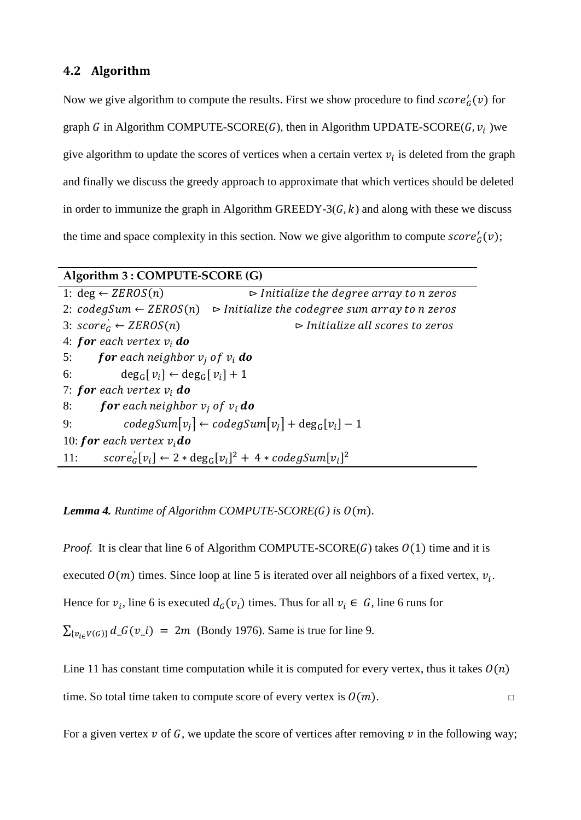## **4.2 Algorithm**

Now we give algorithm to compute the results. First we show procedure to find  $score'_{G}(v)$  for graph G in Algorithm COMPUTE-SCORE(G), then in Algorithm UPDATE-SCORE(G,  $v_i$ ) we give algorithm to update the scores of vertices when a certain vertex  $v_i$  is deleted from the graph and finally we discuss the greedy approach to approximate that which vertices should be deleted in order to immunize the graph in Algorithm GREEDY-3( $G, k$ ) and along with these we discuss the time and space complexity in this section. Now we give algorithm to compute  $score'_{G}(v)$ ;

## **Algorithm 3 : COMPUTE-SCORE (G)**

|                                                         | 1: $\deg \leftarrow ZEROS(n)$                             | $\triangleright$ Initialize the degree array to n zeros                                      |  |  |  |
|---------------------------------------------------------|-----------------------------------------------------------|----------------------------------------------------------------------------------------------|--|--|--|
|                                                         |                                                           | 2: $codegSum \leftarrow ZEROS(n)$ $\Rightarrow$ Initialize the codegree sum array to n zeros |  |  |  |
|                                                         | 3: $score'_G \leftarrow ZEROS(n)$                         | $\triangleright$ Initialize all scores to zeros                                              |  |  |  |
|                                                         | 4: for each vertex $v_i$ do                               |                                                                                              |  |  |  |
|                                                         | <b>for</b> each neighbor $v_i$ of $v_i$ <b>do</b><br>5:   |                                                                                              |  |  |  |
|                                                         | $\deg_G[v_i] \leftarrow \deg_G[v_i] + 1$<br>6:            |                                                                                              |  |  |  |
| 7: <b>for</b> each vertex $v_i$ <b>do</b>               |                                                           |                                                                                              |  |  |  |
| <b>for</b> each neighbor $v_i$ of $v_i$ <b>do</b><br>8: |                                                           |                                                                                              |  |  |  |
| 9:                                                      | $codegsum[v_i] \leftarrow codegSum[v_i] + deg_G[v_i] - 1$ |                                                                                              |  |  |  |
| 10: <b>for</b> each vertex $v_i$ <b>do</b>              |                                                           |                                                                                              |  |  |  |
| 11:                                                     |                                                           | $score'_{G}[v_i] \leftarrow 2 * deg_G[v_i]^2 + 4 * codegSum[v_i]^2$                          |  |  |  |

#### *Lemma 4. Runtime of Algorithm COMPUTE-SCORE(* $G$ *) is*  $O(m)$ *.*

*Proof.* It is clear that line 6 of Algorithm COMPUTE-SCORE(G) takes  $O(1)$  time and it is executed  $O(m)$  times. Since loop at line 5 is iterated over all neighbors of a fixed vertex,  $v_i$ . Hence for  $v_i$ , line 6 is executed  $d_G(v_i)$  times. Thus for all  $v_i \in G$ , line 6 runs for  $\sum_{\{v_{i\in V(G)\}} d_{G}(v_i) = 2m$  (Bondy 1976). Same is true for line 9.

Line 11 has constant time computation while it is computed for every vertex, thus it takes  $O(n)$ time. So total time taken to compute score of every vertex is  $O(m)$ .

For a given vertex  $v$  of G, we update the score of vertices after removing  $v$  in the following way;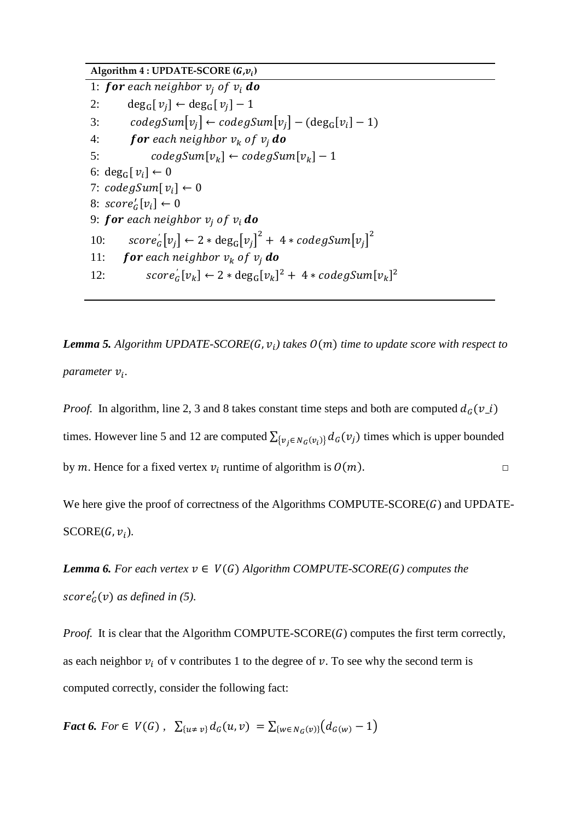Algorithm  $4:UPDATE-SCORE$   $(G, v_i)$ 1: for each neighbor  $v_i$  of  $v_i$  do 2: deg<sub>G</sub>[ $v_i$ ] ← deg<sub>G</sub>[ $v_i$ ] – 1 3:  $codegSum[v_i] \leftarrow codegSum[v_i] - (deg_G[v_i] - 1)$ 4: for each neighbor  $v_k$  of  $v_i$  do 5:  $codegSum[v_k] \leftarrow codegSum[v_k] - 1$ 6: deg<sub>G</sub> $[v_i] \leftarrow 0$ 7:  $codegSum[v_i] \leftarrow 0$ 8:  $score'_G[v_i] \leftarrow 0$ 9: for each neighbor  $v_i$  of  $v_i$  do 10:  $score'_{G}[v_{j}] \leftarrow 2 * deg_{G}[v_{j}]^{2} + 4 * codegSum[v_{j}]^{2}$ 11: for each neighbor  $v_k$  of  $v_i$  do 12:  $\text{score}_G'[v_k] \leftarrow 2 * \text{deg}_G[v_k]^2 + 4 * \text{codegSum}[v_k]^2$ 

*Lemma 5. Algorithm UPDATE-SCORE(G,*  $v_i$ *) takes*  $O(m)$  *time to update score with respect to parameter*  $v_i$ .

*Proof.* In algorithm, line 2, 3 and 8 takes constant time steps and both are computed  $d_G(v_i)$ times. However line 5 and 12 are computed  $\sum_{\{v_i \in N_G(v_i)\}} d_G(v_i)$  times which is upper bounded by m. Hence for a fixed vertex  $v_i$  runtime of algorithm is  $O(m)$ .

We here give the proof of correctness of the Algorithms COMPUTE-SCORE $(G)$  and UPDATE- $SCORE(G, v_i).$ 

*Lemma 6. For each vertex*  $v \in V(G)$  *Algorithm COMPUTE-SCORE(G) computes the*  $score'_G(v)$  as defined in (5).

*Proof.* It is clear that the Algorithm COMPUTE-SCORE( $G$ ) computes the first term correctly, as each neighbor  $v_i$  of v contributes 1 to the degree of v. To see why the second term is computed correctly, consider the following fact:

*Fact 6. For*  $\in V(G)$ ,  $\sum_{\{u \neq v\}} d_G(u, v) = \sum_{\{w \in N_G(v)\}} (d_{G(w)} - 1)$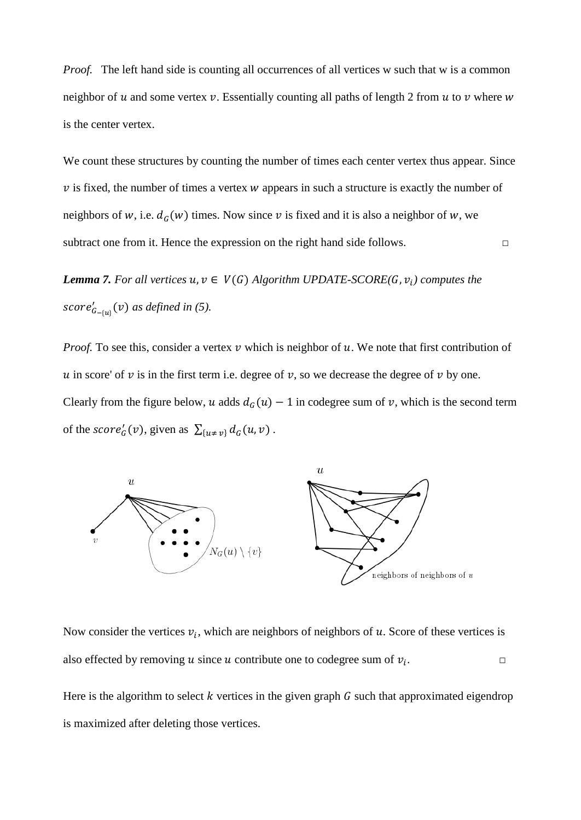*Proof.* The left hand side is counting all occurrences of all vertices w such that w is a common neighbor of u and some vertex v. Essentially counting all paths of length 2 from u to v where  $w$ is the center vertex.

We count these structures by counting the number of times each center vertex thus appear. Since  $\nu$  is fixed, the number of times a vertex  $\nu$  appears in such a structure is exactly the number of neighbors of w, i.e.  $d_G(w)$  times. Now since v is fixed and it is also a neighbor of w, we subtract one from it. Hence the expression on the right hand side follows.  $\Box$ 

*Lemma 7. For all vertices*  $u, v \in V(G)$  *Algorithm UPDATE-SCORE(G,*  $v_i$ *) computes the*  $score'_{G_{-\{u\}}}(v)$  as defined in (5).

*Proof.* To see this, consider a vertex  $v$  which is neighbor of  $u$ . We note that first contribution of u in score' of  $v$  is in the first term i.e. degree of  $v$ , so we decrease the degree of  $v$  by one. Clearly from the figure below, u adds  $d_G(u) - 1$  in codegree sum of v, which is the second term of the score<sup>'</sup><sub>G</sub> $(v)$ , given as  $\sum_{\{u \neq v\}} d_G(u, v)$ .



Now consider the vertices  $v_i$ , which are neighbors of neighbors of u. Score of these vertices is also effected by removing u since u contribute one to codegree sum of  $v_i$ .

Here is the algorithm to select  $k$  vertices in the given graph  $G$  such that approximated eigendrop is maximized after deleting those vertices.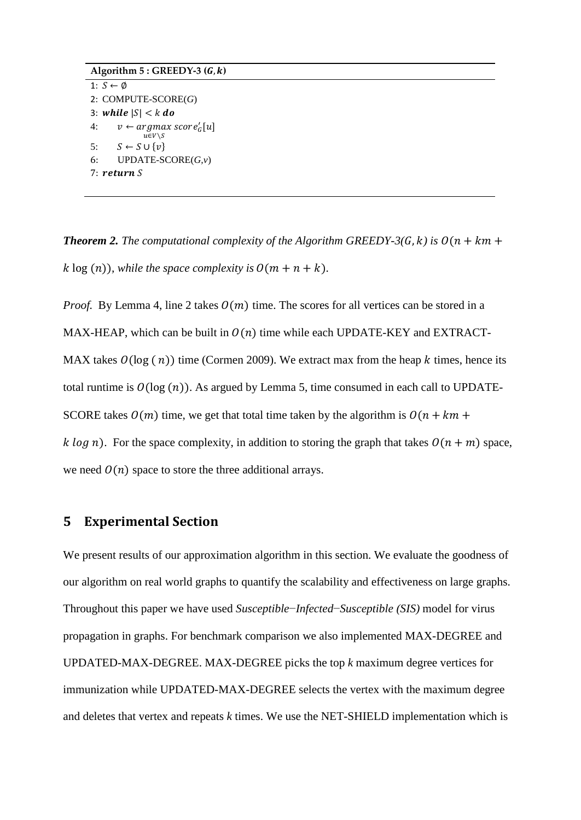```
Algorithm 5: GREEDY-3 (G, k)1: S \leftarrow \emptyset2: COMPUTE-SCORE(G)
3: while |S| < k do
4: v \leftarrow argmax score'_G[u]u∈v∖s
5: S \leftarrow S \cup \{v\}6: UPDATE-SCORE(G,v)
7: return S
```
*Theorem 2. The computational complexity of the Algorithm GREEDY-3(G, k) is*  $O(n + km +$ k  $\log(n)$ , while the space complexity is  $O(m + n + k)$ .

*Proof.* By Lemma 4, line 2 takes  $O(m)$  time. The scores for all vertices can be stored in a MAX-HEAP, which can be built in  $O(n)$  time while each UPDATE-KEY and EXTRACT-MAX takes  $\mathcal{O}(\log(n))$  time (Cormen 2009). We extract max from the heap k times, hence its total runtime is  $O(log (n))$ . As argued by Lemma 5, time consumed in each call to UPDATE-SCORE takes  $O(m)$  time, we get that total time taken by the algorithm is  $O(n + km +$ k log n). For the space complexity, in addition to storing the graph that takes  $O(n + m)$  space, we need  $O(n)$  space to store the three additional arrays.

### **5 Experimental Section**

We present results of our approximation algorithm in this section. We evaluate the goodness of our algorithm on real world graphs to quantify the scalability and effectiveness on large graphs. Throughout this paper we have used *Susceptible*−*Infected*−*Susceptible (SIS)* model for virus propagation in graphs. For benchmark comparison we also implemented MAX-DEGREE and UPDATED-MAX-DEGREE. MAX-DEGREE picks the top *k* maximum degree vertices for immunization while UPDATED-MAX-DEGREE selects the vertex with the maximum degree and deletes that vertex and repeats *k* times. We use the NET-SHIELD implementation which is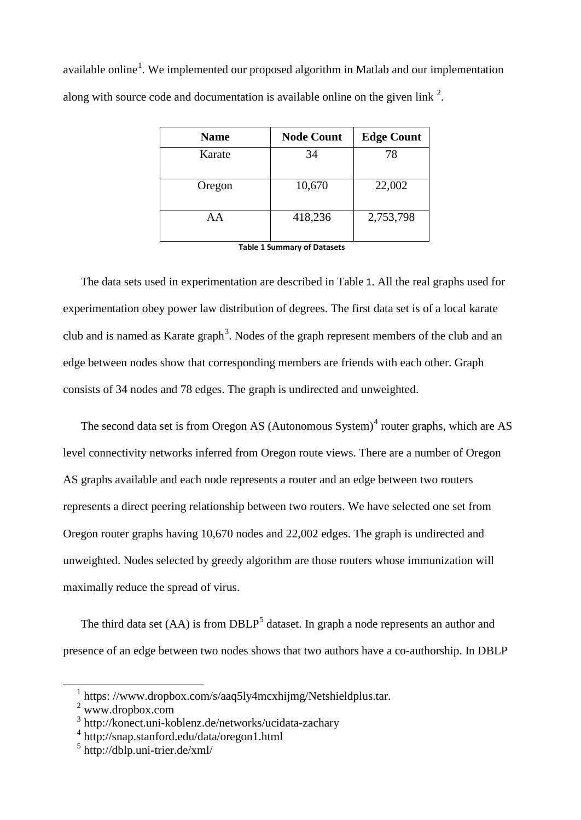available online<sup>[1](#page-19-0)</sup>. We implemented our proposed algorithm in Matlab and our implementation along with source code and documentation is available online on the given link  $2$ .

| <b>Name</b> | <b>Node Count</b> | <b>Edge Count</b> |
|-------------|-------------------|-------------------|
| Karate      | 34                | 78                |
| Oregon      | 10,670            | 22,002            |
| AΑ          | 418,236           | 2,753,798         |

**Table 1 Summary of Datasets**

The data sets used in experimentation are described in Table 1. All the real graphs used for experimentation obey power law distribution of degrees. The first data set is of a local karate club and is named as Karate graph<sup>[3](#page-19-2)</sup>. Nodes of the graph represent members of the club and an edge between nodes show that corresponding members are friends with each other. Graph consists of 34 nodes and 78 edges. The graph is undirected and unweighted.

The second data set is from Oregon AS (Autonomous System)<sup>[4](#page-19-3)</sup> router graphs, which are AS level connectivity networks inferred from Oregon route views. There are a number of Oregon AS graphs available and each node represents a router and an edge between two routers represents a direct peering relationship between two routers. We have selected one set from Oregon router graphs having 10,670 nodes and 22,002 edges. The graph is undirected and unweighted. Nodes selected by greedy algorithm are those routers whose immunization will maximally reduce the spread of virus.

The third data set  $(AA)$  is from DBLP<sup>[5](#page-19-4)</sup> dataset. In graph a node represents an author and presence of an edge between two nodes shows that two authors have a co-authorship. In DBLP

<span id="page-19-0"></span><sup>&</sup>lt;sup>1</sup> https://www.dropbox.com/s/aaq5ly4mcxhijmg/Netshieldplus.tar.

<span id="page-19-1"></span><sup>2</sup> www.dropbox.com

<span id="page-19-2"></span><sup>3</sup> http://konect.uni-koblenz.de/networks/ucidata-zachary

<span id="page-19-3"></span><sup>4</sup> http://snap.stanford.edu/data/oregon1.html

<span id="page-19-4"></span> $5$  http://dblp.uni-trier.de/xml/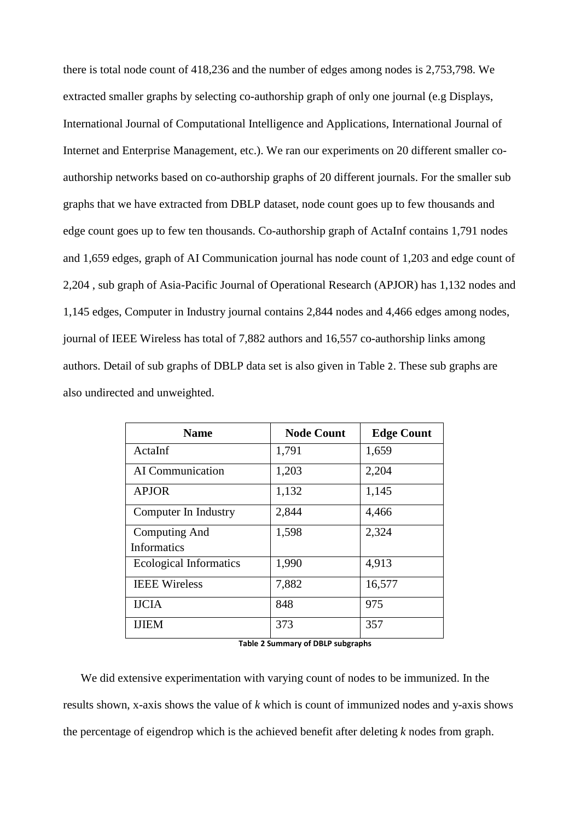there is total node count of 418,236 and the number of edges among nodes is 2,753,798. We extracted smaller graphs by selecting co-authorship graph of only one journal (e.g Displays, International Journal of Computational Intelligence and Applications, International Journal of Internet and Enterprise Management, etc.). We ran our experiments on 20 different smaller coauthorship networks based on co-authorship graphs of 20 different journals. For the smaller sub graphs that we have extracted from DBLP dataset, node count goes up to few thousands and edge count goes up to few ten thousands. Co-authorship graph of ActaInf contains 1,791 nodes and 1,659 edges, graph of AI Communication journal has node count of 1,203 and edge count of 2,204 , sub graph of Asia-Pacific Journal of Operational Research (APJOR) has 1,132 nodes and 1,145 edges, Computer in Industry journal contains 2,844 nodes and 4,466 edges among nodes, journal of IEEE Wireless has total of 7,882 authors and 16,557 co-authorship links among authors. Detail of sub graphs of DBLP data set is also given in Table 2. These sub graphs are also undirected and unweighted.

| <b>Name</b>                   | <b>Node Count</b> | <b>Edge Count</b> |
|-------------------------------|-------------------|-------------------|
| ActaInf                       | 1,791             | 1,659             |
| AI Communication              | 1,203             | 2,204             |
| <b>APJOR</b>                  | 1,132             | 1,145             |
| Computer In Industry          | 2,844             | 4,466             |
| Computing And                 | 1,598             | 2,324             |
| <b>Informatics</b>            |                   |                   |
| <b>Ecological Informatics</b> | 1,990             | 4,913             |
| <b>IEEE Wireless</b>          | 7,882             | 16,577            |
| <b>IJCIA</b>                  | 848               | 975               |
| <b>IJIEM</b>                  | 373               | 357               |

**Table 2 Summary of DBLP subgraphs**

We did extensive experimentation with varying count of nodes to be immunized. In the results shown, x-axis shows the value of *k* which is count of immunized nodes and y-axis shows the percentage of eigendrop which is the achieved benefit after deleting *k* nodes from graph.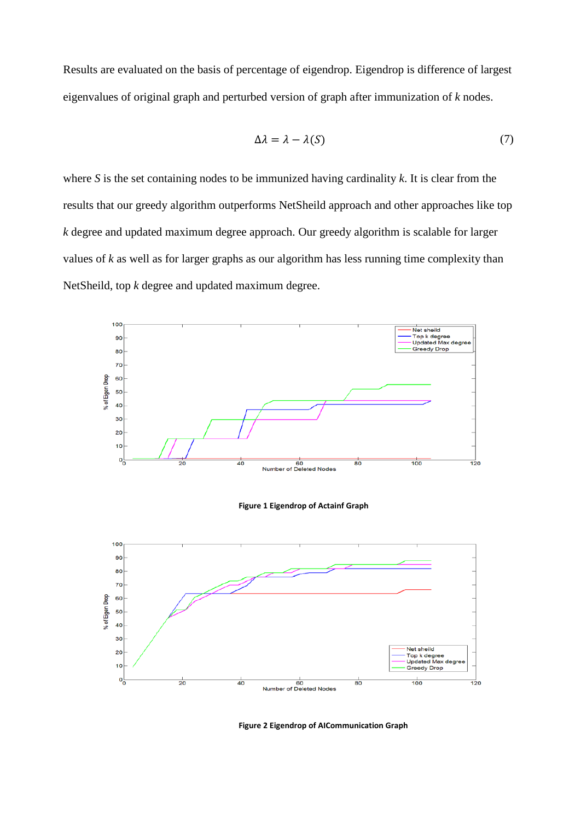Results are evaluated on the basis of percentage of eigendrop. Eigendrop is difference of largest eigenvalues of original graph and perturbed version of graph after immunization of *k* nodes.

$$
\Delta \lambda = \lambda - \lambda(S) \tag{7}
$$

where *S* is the set containing nodes to be immunized having cardinality *k*. It is clear from the results that our greedy algorithm outperforms NetSheild approach and other approaches like top *k* degree and updated maximum degree approach. Our greedy algorithm is scalable for larger values of *k* as well as for larger graphs as our algorithm has less running time complexity than NetSheild, top *k* degree and updated maximum degree.



**Figure 2 Eigendrop of AICommunication Graph**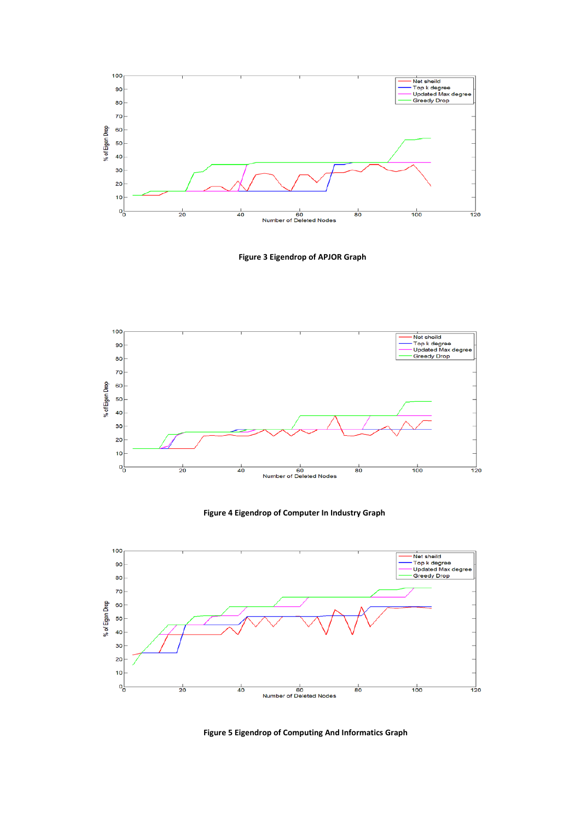

**Figure 3 Eigendrop of APJOR Graph**



#### **Figure 4 Eigendrop of Computer In Industry Graph**



**Figure 5 Eigendrop of Computing And Informatics Graph**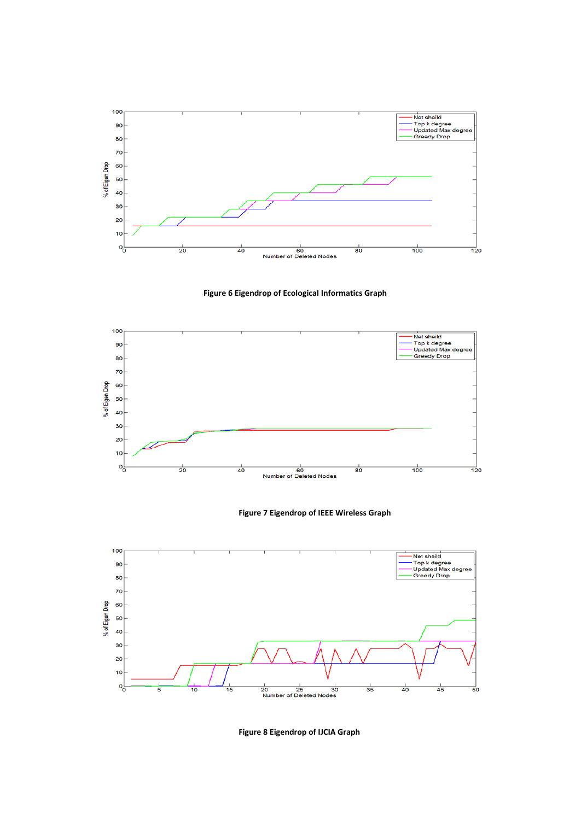





#### **Figure 7 Eigendrop of IEEE Wireless Graph**



**Figure 8 Eigendrop of IJCIA Graph**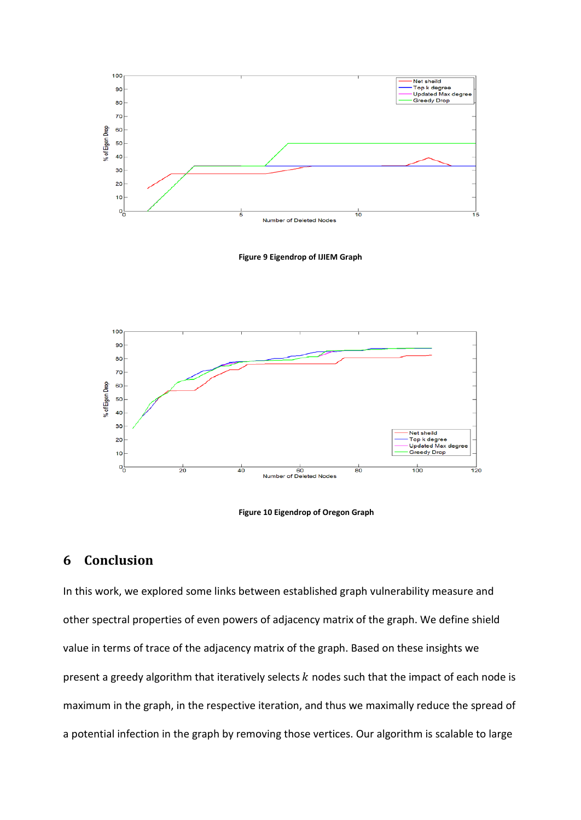

**Figure 9 Eigendrop of IJIEM Graph**



**Figure 10 Eigendrop of Oregon Graph**

## **6 Conclusion**

In this work, we explored some links between established graph vulnerability measure and other spectral properties of even powers of adjacency matrix of the graph. We define shield value in terms of trace of the adjacency matrix of the graph. Based on these insights we present a greedy algorithm that iteratively selects  $k$  nodes such that the impact of each node is maximum in the graph, in the respective iteration, and thus we maximally reduce the spread of a potential infection in the graph by removing those vertices. Our algorithm is scalable to large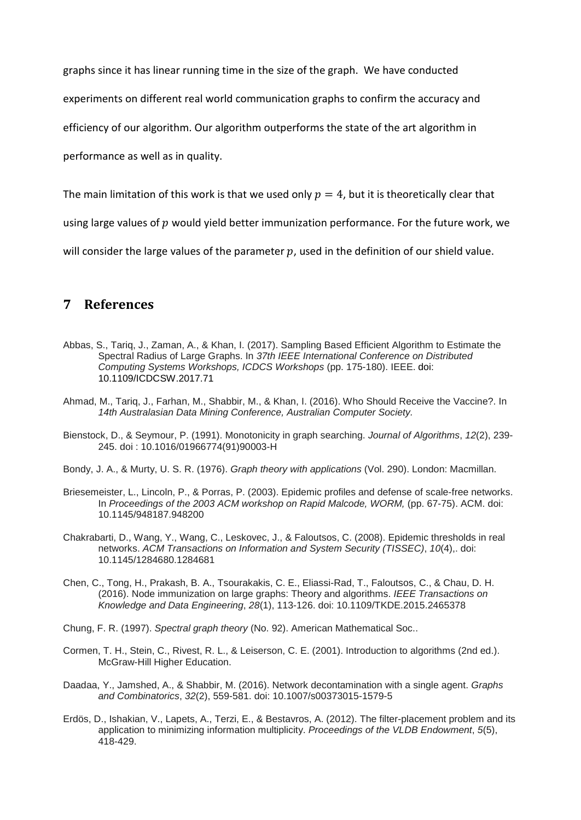graphs since it has linear running time in the size of the graph. We have conducted

experiments on different real world communication graphs to confirm the accuracy and

efficiency of our algorithm. Our algorithm outperforms the state of the art algorithm in

performance as well as in quality.

The main limitation of this work is that we used only  $p = 4$ , but it is theoretically clear that

using large values of  $p$  would vield better immunization performance. For the future work, we

will consider the large values of the parameter  $p$ , used in the definition of our shield value.

## **7 References**

- Abbas, S., Tariq, J., Zaman, A., & Khan, I. (2017). Sampling Based Efficient Algorithm to Estimate the Spectral Radius of Large Graphs. In *37th IEEE International Conference on Distributed Computing Systems Workshops, ICDCS Workshops* (pp. 175-180). IEEE. doi: 10.1109/ICDCSW.2017.71
- Ahmad, M., Tariq, J., Farhan, M., Shabbir, M., & Khan, I. (2016). Who Should Receive the Vaccine?. In *14th Australasian Data Mining Conference, Australian Computer Society.*
- Bienstock, D., & Seymour, P. (1991). Monotonicity in graph searching. *Journal of Algorithms*, *12*(2), 239- 245. doi : 10.1016/01966774(91)90003-H
- Bondy, J. A., & Murty, U. S. R. (1976). *Graph theory with applications* (Vol. 290). London: Macmillan.
- Briesemeister, L., Lincoln, P., & Porras, P. (2003). Epidemic profiles and defense of scale-free networks. In *Proceedings of the 2003 ACM workshop on Rapid Malcode, WORM,* (pp. 67-75). ACM. doi: 10.1145/948187.948200
- Chakrabarti, D., Wang, Y., Wang, C., Leskovec, J., & Faloutsos, C. (2008). Epidemic thresholds in real networks. *ACM Transactions on Information and System Security (TISSEC)*, *10*(4),. doi: 10.1145/1284680.1284681
- Chen, C., Tong, H., Prakash, B. A., Tsourakakis, C. E., Eliassi-Rad, T., Faloutsos, C., & Chau, D. H. (2016). Node immunization on large graphs: Theory and algorithms. *IEEE Transactions on Knowledge and Data Engineering*, *28*(1), 113-126. doi: 10.1109/TKDE.2015.2465378
- Chung, F. R. (1997). *Spectral graph theory* (No. 92). American Mathematical Soc..
- Cormen, T. H., Stein, C., Rivest, R. L., & Leiserson, C. E. (2001). Introduction to algorithms (2nd ed.). McGraw-Hill Higher Education.
- Daadaa, Y., Jamshed, A., & Shabbir, M. (2016). Network decontamination with a single agent. *Graphs and Combinatorics*, *32*(2), 559-581. doi: 10.1007/s00373015-1579-5
- Erdös, D., Ishakian, V., Lapets, A., Terzi, E., & Bestavros, A. (2012). The filter-placement problem and its application to minimizing information multiplicity. *Proceedings of the VLDB Endowment*, *5*(5), 418-429.